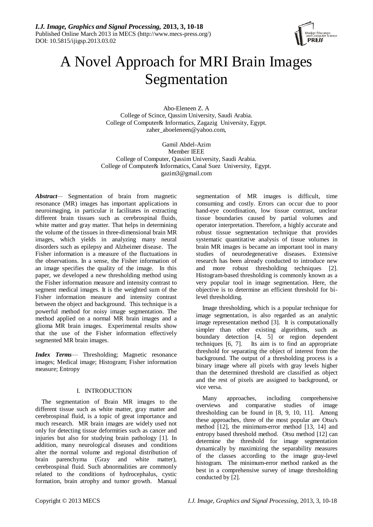

# A Novel Approach for MRI Brain Images Segmentation

Abo-Eleneen Z. A College of Scince, Qassim University, Saudi Arabia. College of Computer& Informatics, Zagazig University, Egypt. [zaher\\_aboeleneen@yahoo.com,](mailto:zaher_aboeleneen@yahoo.com)

Gamil Abdel-Azim Member IEEE College of Computer, Qassim University, Saudi Arabia. College of Computer& Informatics, Canal Suez University, Egypt. gazim3@gmail.com

*Abstract—* Segmentation of brain from magnetic resonance (MR) images has important applications in neuroimaging, in particular it facilitates in extracting different brain tissues such as cerebrospinal fluids, white matter and gray matter. That helps in determining the volume of the tissues in three-dimensional brain MR images, which yields in analyzing many neural disorders such as epilepsy and Alzheimer disease. The Fisher information is a measure of the fluctuations in the observations. In a sense, the Fisher information of an image specifies the quality of the image. In this paper, we developed a new thresholding method using the Fisher information measure and intensity contrast to segment medical images. It is the weighted sum of the Fisher information measure and intensity contrast between the object and background. This technique is a powerful method for noisy image segmentation. The method applied on a normal MR brain images and a glioma MR brain images. Experimental results show that the use of the Fisher information effectively segmented MR brain images.

*Index Terms*— Thresholding; Magnetic resonance images; Medical image; Histogram; Fisher information measure; Entropy

# I. INTRODUCTION

The segmentation of Brain MR images to the different tissue such as white matter, gray matter and cerebrospinal fluid, is a topic of great importance and much research. MR brain images are widely used not only for detecting tissue deformities such as cancer and injuries but also for studying brain pathology [1]. In addition, many neurological diseases and conditions alter the normal volume and regional distribution of brain parenchyma (Gray and white matter), cerebrospinal fluid. Such abnormalities are commonly related to the conditions of hydrocephalus, cystic formation, brain atrophy and tumor growth. Manual

segmentation of MR images is difficult, time consuming and costly. Errors can occur due to poor hand-eye coordination, low tissue contrast, unclear tissue boundaries caused by partial volumes and operator interpretation. Therefore, a highly accurate and robust tissue segmentation technique that provides systematic quantitative analysis of tissue volumes in brain MR images is became an important tool in many studies of neurodegenerative diseases. Extensive research has been already conducted to introduce new and more robust thresholding techniques [2]. Histogram-based thresholding is commonly known as a very popular tool in image segmentation. Here, the objective is to determine an efficient threshold for bilevel thresholding.

Image thresholding, which is a popular technique for image segmentation, is also regarded as an analytic image representation method [3]. It is computationally simpler than other existing algorithms, such as boundary detection [4, 5] or region dependent techniques [6, 7]. Its aim is to find an appropriate threshold for separating the object of interest from the background. The output of a thresholding process is a binary image where all pixels with gray levels higher than the determined threshold are classified as object and the rest of pixels are assigned to background, or vice versa.

Many approaches, including comprehensive overviews and comparative studies of image thresholding can be found in [8, 9, 10, 11]. Among these approaches, three of the most popular are Otsu's method [12], the minimum-error method [13, 14] and entropy based threshold method. Otsu method [12] can determine the threshold for image segmentation dynamically by maximizing the separability measures of the classes according to the image gray-level histogram. The minimum-error method ranked as the best in a comprehensive survey of image thresholding conducted by [2].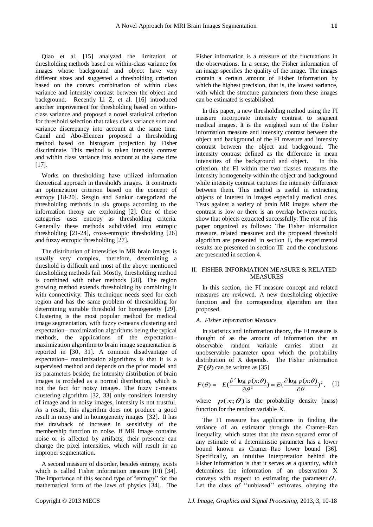Qiao et al. [15] analyzed the limitation of thresholding methods based on within-class variance for images whose background and object have very different sizes and suggested a thresholding criterion based on the convex combination of within class variance and intensity contrast between the object and background. Recently Li Z, et al. [16] introduced another improvement for thresholding based on withinclass variance and proposed a novel statistical criterion for threshold selection that takes class variance sum and variance discrepancy into account at the same time. Gamil and Abo-Eleneen proposed a thresholding method based on histogram projection by Fisher discriminate. This method is taken intensity contrast and within class variance into account at the same time [17].

Works on thresholding have utilized information theoretical approach in threshold's images. It constructs an optimization criterion based on the concept of entropy [18-20]. Sezgin and Sankur categorized the thresholding methods in six groups according to the information theory are exploiting [2]. One of these categories uses entropy as thresholding criteria. Generally these methods subdivided into entropic thresholding [21-24], cross-entropic thresholding [26] and fuzzy entropic thresholding [27].

The distribution of intensities in MR brain images is usually very complex, therefore, determining a threshold is difficult and most of the above mentioned thresholding methods fail. Mostly, thresholding method is combined with other methods [28]. The region growing method extends thresholding by combining it with connectivity. This technique needs seed for each region and has the same problem of thresholding for determining suitable threshold for homogeneity [29]. Clustering is the most popular method for medical image segmentation, with fuzzy c-means clustering and expectation– maximization algorithms being the typical methods, the applications of the expectation– maximization algorithm to brain image segmentation is reported in [30, 31]. A common disadvantage of expectation– maximization algorithms is that it is a supervised method and depends on the prior model and its parameters beside; the intensity distribution of brain images is modeled as a normal distribution, which is not the fact for noisy images. The fuzzy c-means clustering algorithm [32, 33] only considers intensity of image and in noisy images, intensity is not trustful. As a result, this algorithm does not produce a good result in noisy and in homogeneity images [32]. It has the drawback of increase in sensitivity of the membership function to noise. If MR image contains noise or is affected by artifacts, their presence can change the pixel intensities, which will result in an improper segmentation.

A second measure of disorder, besides entropy, exists which is called Fisher information measure (FI) [\[34\]](http://statintquant.net/siq/html/soqweb/soqwebli1.html#Xfisher:statistical*1). The importance of this second type of "entropy" for the mathematical form of the laws of physics [34]. The

Fisher information is a measure of the fluctuations in the observations. In a sense, the Fisher information of an image specifies the quality of the image. The images contain a certain amount of Fisher information by which the highest precision, that is, the lowest variance, with which the structure parameters from these images can be estimated is established.

In this paper, a new thresholding method using the FI measure incorporate intensity contrast to segment medical images. It is the weighted sum of the Fisher information measure and intensity contrast between the object and background of the FI measure and intensity contrast between the object and background. The intensity contrast defined as the difference in mean intensities of the background and object. In this criterion, the FI within the two classes measures the intensity homogeneity within the object and background while intensity contrast captures the intensity difference between them. This method is useful in extracting objects of interest in images especially medical ones. Tests against a variety of brain MR images where the contrast is low or there is an overlap between modes, show that objects extracted successfully. The rest of this paper organized as follows: The Fisher information measure, related measures and the proposed threshold algorithm are presented in section II, the experimental results are presented in section III and the conclusions are presented in section 4.

## II. FISHER INFORMATION MEASURE & RELATED **MEASURES**

In this section, the FI measure concept and related measures are reviewed. A new thresholding objective function and the corresponding algorithm are then proposed.

# *A. Fisher Information Measure*

In statistics and information theory, the FI measure is thought of as the amount of information that an observable random variable carries about an unobservable parameter upon which the probability distribution of X depends. The Fisher information  $F(\theta)$  can be written as [35]

$$
F(\theta) = -E\left(\frac{\partial^2 \log p(x;\theta)}{\partial \theta^2}\right) = E\left(\frac{\partial \log p(x;\theta)}{\partial \theta}\right)^2, \quad (1)
$$

where  $p(x; \theta)$  is the probability density (mass) function for the random variable X.

The FI measure has applications in finding the variance of an estimator through the Cramer–Rao inequality, which states that the mean squared error of any estimate of a deterministic parameter has a lower bound known as Cramer–Rao lower bound [36]. Specifically, an intuitive interpretation behind the Fisher information is that it serves as a quantity, which determines the information of an observation X conveys with respect to estimating the parameter  $\theta$ . Let the class of "unbiased" estimates, obeying the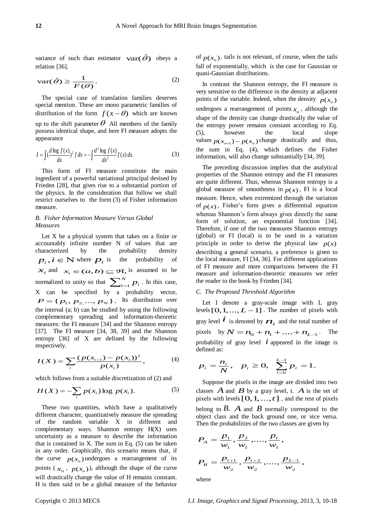variance of such than estimator  $var(\hat{\theta})$  obeys a relation [36].

$$
\operatorname{var}(\hat{\theta}) \ge \frac{1}{F(\theta)}.\tag{2}
$$

The special case of translation families deserves special mention. These are mono parametric families of distribution of the form  $f(x - \theta)$  which are known up to the shift parameter  $\theta$  All members of the family possess identical shape, and here FI measure adopts the appearance

$$
I = \int (\frac{d \log f(x)}{dx})^2 f dx = -\int \frac{d^2 \log f(x)}{dx^2} f(x) dx.
$$
 (3)

This form of FI measure constitute the main ingredient of a powerful variational principal devised by Frieden [28], that gives rise to a substantial portion of the physics. In the consideration that follow we shall restrict ourselves to the form (3) of Fisher information measure.

# *B. Fisher Information Measure Versus Global Measures*

Let X be a physical system that takes on a finite or accountably infinite number N of values that are characterized by the probability density  $p_i$ ,  $i \in \mathbb{N}$  where  $p_i$  is the probability of  $x_i$  and  $x_i \in (a, b) \subseteq \Re$ , is assumed to be normalized to unity so that  $\sum_{i=1}^{N}$  $\sum_{i=1}^{N} p_i$ . In this case, X can be specified by a probability vector,  $P = \{p_1, p_2, ..., p_N\}$ . Its distribution over the interval (a; b) can be studied by using the following complementary spreading and information-theoretic measures: the FI measure [34] and the Shannon entropy [37]. The FI measure [34, 38, 39] and the Shannon entropy [36] of X are defined by the following respectively.

$$
I(X) = \sum_{i} \frac{(p(x_{i+1}) - p(x_i))^2}{p(x_i)},
$$
 (4)

which follows from a suitable discretization of (2) and

$$
H(X) = -\sum_{i} p(x_i) \log p(x_i). \tag{5}
$$

These two quantities, which have a qualitatively different character, quantitatively measure the spreading of the random variable X in different and complementary ways. Shannon entropy H(X) uses uncertainty as a measure to describe the information that is contained in X. The sum in Eq. (5) can be taken in any order. Graphically, this scenario means that, if the curve  $p(x_n)$  undergoes a rearrangement of its points  $(x_n, p(x_n))$ , although the shape of the curve will drastically change the value of H remains constant. H is then said to be a global measure of the behavior

of  $p(x_n)$  tails is not relevant, of course, when the tails fall of exponentially, which is the case for Gaussian or quasi-Gaussian distributions.

In contrast the Shannon entropy, the FI measure is very sensitive to the difference in the density at adjacent points of the variable. Indeed, when the density  $p(x_n)$ undergoes a rearrangement of points  $x_n$ , although the shape of the density can change drastically the value of the entropy power remains constant according to Eq. (5), however the local slope values  $p(x_{n+1}) - p(x_n)$  change drastically and thus, the sum in Eq. (4), which defines the Fisher information, will also change substantially [34, 39].

The preceding discussion implies that the analytical properties of the Shannon entropy and the FI measures are quite different. Thus, whereas Shannon entropy is a global measure of smoothness in  $p(x)$ , FI is a local measure. Hence, when extremized through the variation of  $p(x)$ , Fisher's form gives a differential equation whereas Shannon's form always gives directly the same form of solution, an exponential function [34]. Therefore, if one of the two measures Shannon entropy (global) or FI (local) is to be used in a variation principle in order to derive the physical law  $p(x)$ describing a general scenario, a preference is given to the local measure, FI [34, 36]. For different applications of FI measure and more comparisons between the FI measure and information-theoretic measures we refer the reader to the book by Frieden [34].

### *C. The Proposed Threshold Algorithm*

Let I denote a gray-scale image with L gray levels  $[0,1,...,L-1]$ . The number of pixels with Evel **i**  $\vec{i}$  is denoted by  $n_i$  and the total number of gray level  $\vec{i}$  is denoted by  $n_i$  and the total number of pixels by  $N = n_0 + n_1 + ... + n_{L-1}$ . The probability of gray level  $\boldsymbol{i}$  appeared in the image is defined as:

$$
p_i = \frac{n_i}{N}, \quad p_i \ge 0, \quad \sum_{i=0}^{L-1} p_i = 1.
$$

Suppose the pixels in the image are divided into two classes  $\overrightarrow{A}$  and  $\overrightarrow{B}$  by a gray level, t.  $\overrightarrow{A}$  is the set of pixels with levels  $[0,1,...,t]$ , and the rest of pixels belong to  $\hat{B}$ .  $\hat{A}$  and  $\hat{B}$  normally correspond to the object class and the back ground one, or vice versa. Then the probabilities of the two classes are given by

$$
P_A = \frac{p_1}{w_1}, \frac{p_2}{w_1}, \dots, \frac{p_t}{w_1},
$$
  

$$
P_B = \frac{p_{t+1}}{w_2}, \frac{p_{t+2}}{w_2}, \dots, \frac{p_{L-1}}{w_2},
$$

where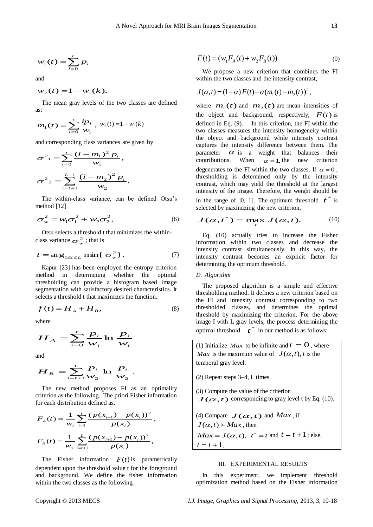$$
w_1(t) = \sum_{i=0}^t p_i
$$

and

$$
w_2(t) = 1 - w_1(k).
$$

The mean gray levels of the two classes are defined as:

$$
m_1(t) = \sum_{i=0}^{t} \frac{ip_i}{w_1}, w_2(t) = 1 - w_1(k)
$$

and corresponding class variances are given by

$$
\sigma^{2}_{1} = \sum_{i=0}^{t} \frac{(i - m_{1})^{2} p_{i}}{w_{1}},
$$

$$
\sigma^{2}_{2} = \sum_{i=t+1}^{L-1} \frac{(i - m_{2})^{2} p_{i}}{w_{2}}.
$$

The within-class variance, can be defined Otsu's method [12]

$$
\sigma_w^2 = w_1 \sigma_1^2 + w_2 \sigma_2^2, \qquad (6)
$$

Otsu selects a threshold t that minimizes the withinclass variance  $\sigma_w^2$ ; that is

$$
t = \arg_{1 \le t \le L} \min\{ \sigma_w^2 \}. \tag{7}
$$

Kapur [23] has been employed the entropy criterion method in determining whether the optimal thresholding can provide a histogram based image segmentation with satisfactory desired characteristics. It selects a threshold t that maximizes the function.

$$
f(t) = H_A + H_B, \tag{8}
$$

where

$$
H_A = \sum_{i=0}^{t} \frac{p_i}{w_1} \ln \frac{p_i}{w_1}
$$

and

$$
H_B = \sum_{i=t+1}^{L} \frac{p_i}{w_2} \ln \frac{p_i}{w_2}.
$$

The new method proposes FI as an optimality criterion as the following. The priori Fisher information for each distribution defined as.

$$
F_A(t) = \frac{1}{w_1} \sum_{i=1}^{t} \frac{(p(x_{i+1}) - p(x_i))^2}{p(x_i)},
$$
  

$$
F_B(t) = \frac{1}{w_2} \sum_{i=t+1}^{L} \frac{(p(x_{i+1}) - p(x_i))^2}{p(x_i)},
$$

The Fisher information  $F(t)$  is parametrically dependent upon the threshold value t for the foreground and background. We define the fisher information within the two classes as the following.

$$
F(t) = (w_1 F_A(t) + w_2 F_B(t))
$$
\n(9)

We propose a new criterion that combines the FI within the two classes and the intensity contrast,

$$
J(\alpha, t) = (1 - \alpha) F(t) - \alpha (m_1(t) - m_2(t))^2,
$$

 $w_i(t) = \sum_{i=1}^{k} p_i$ <br>
Ed <br>
Ed <br>
Ed <br>
Ed <br>
Estado signal Procession de Variation de Consideration de Variation de Variation de Variation de Variation de Variation de Variation de Variation de Variation de Variation de Var where  $m_1(t)$  and  $m_2(t)$  are mean intensities of the object and background, respectively,  $F(t)$  is defined in Eq. (9). In this criterion, the FI within the two classes measures the intensity homogeneity within the object and background while intensity contrast captures the intensity difference between them. The parameter  $\alpha$  is a weight that balances their contributions. When  $\alpha = 1$ , the new criterion degenerates to the FI within the two classes. If  $\alpha = 0$ , thresholding is determined only by the intensity contrast, which may yield the threshold at the largest intensity of the image. Therefore, the weight should be in the range of  $]0, 1[$ . The optimum threshold  $t^*$  is selected by maximizing the new criterion,

$$
J(\alpha,t^*) = \max_t J(\alpha,t). \tag{10}
$$

Eq. (10) actually tries to increase the Fisher information within two classes and decrease the intensity contrast simultaneously. In this way, the intensity contrast becomes an explicit factor for determining the optimum threshold.

#### *D. Algorithm*

The proposed algorithm is a simple and effective thresholding method. It defines a new criterion based on the FI and intensity contrast corresponding to two thresholded classes, and determines the optimal threshold by maximizing the criterion. For the above image I with L gray levels, the process determining the  $\frac{1}{t^*}$  in our method is as follows:

(1) Initialize *Max* to be infinite and  $t = 0$ , where *Max* is the maximum value of  $J(\alpha, t)$ , t is the temporal gray level.

(2) Repeat steps 3–4, L times.

- (3) Compute the value of the criterion *J* ( $\alpha$ , *t*) corresponding to gray level t by Eq. (10).
- (4) Compare  $J(\alpha, t)$  and *Max*, if  $J(\alpha,t) \rightarrow Max$ , then  $Max = J(\alpha, t), t^* = t \text{ and } t = t + 1; \text{ else,}$  $t = t + 1$ .

#### III. EXPERIMENTAL RESULTS

In this experiment, we implement threshold optimization method based on the Fisher information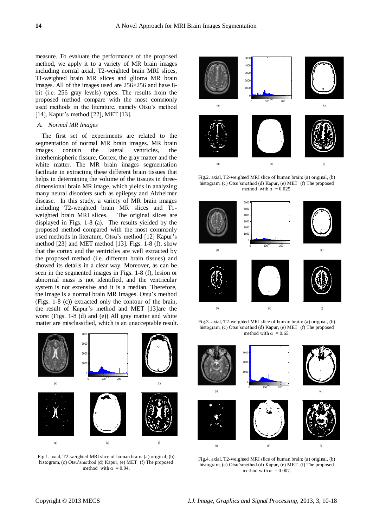measure. To evaluate the performance of the proposed method, we apply it to a variety of MR brain images including normal axial, T2-weighted brain MRI slices, T1-weighted brain MR slices and glioma MR brain images. All of the images used are  $256\times256$  and have 8bit (i.e. 256 gray levels) types. The results from the proposed method compare with the most commonly used methods in the literature, namely Otsu's method [14], Kapur's method [22], MET [13].

#### *A. Normal MR Images*

The first set of experiments are related to the segmentation of normal MR brain images. MR brain images contain the lateral ventricles, the interhemispheric fissure, Cortex, the gray matter and the white matter. The MR brain images segmentation facilitate in extracting these different brain tissues that helps in determining the volume of the tissues in threedimensional brain MR image, which yields in analyzing many neural disorders such as epilepsy and Alzheimer disease. In this study, a variety of MR brain images including T2-weighted brain MR slices and T1 weighted brain MRI slices. displayed in Figs. 1-8 (a). The results yielded by the proposed method compared with the most commonly used methods in literature, Otsu's method [12] Kapur's method [23] and MET method [13]. Figs. 1-8 (f), show that the cortex and the ventricles are well extracted by the proposed method (i.e. different brain tissues) and showed its details in a clear way. Moreover, as can be seen in the segmented images in Figs. 1-8 (f), lesion or abnormal mass is not identified, and the ventricular system is not extensive and it is a median. Therefore, the image is a normal brain MR images. Otsu's method (Figs. 1-8 (c)) extracted only the contour of the brain, the result of Kapur's method and MET [13]are the worst (Figs. 1-8 (d) and (e)) All gray matter and white matter are misclassified, which is an unacceptable result.



Fig.1. axial, T2-weighted MRI slice of human brain: (a) original, (b) histogram, (c) Otsu'smethod (d) Kapur, (e) MET (f) The proposed method with  $\alpha$  = 0.04.



Fig.2. axial, T2-weighted MRI slice of human brain: (a) original, (b) histogram, (c) Otsu'smethod (d) Kapur, (e) MET (f) The proposed method with  $\alpha = 0.025$ .



histogram, (c) Otsu'smethod (d) Kapur, (e) MET (f) The proposed method with  $\alpha = 0.65$ .



Fig.4. axial, T2-weighted MRI slice of human brain: (a) original, (b) histogram, (c) Otsu'smethod (d) Kapur, (e) MET (f) The proposed method with  $\alpha$  = 0.007.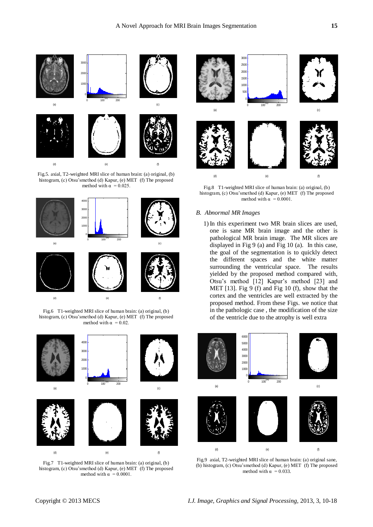

Fig.5. axial, T2-weighted MRI slice of human brain: (a) original, (b) histogram, (c) Otsu'smethod (d) Kapur, (e) MET (f) The proposed method with  $\alpha$  = 0.025.



Fig.6 T1-weighted MRI slice of human brain: (a) original, (b) histogram, (c) Otsu'smethod (d) Kapur, (e) MET (f) The proposed method with  $\alpha = 0.02$ .



Fig.7 T1-weighted MRI slice of human brain: (a) original, (b) histogram, (c) Otsu'smethod (d) Kapur, (e) MET (f) The proposed method with  $\alpha = 0.0001$ .



Fig.8 T1-weighted MRI slice of human brain: (a) original, (b) histogram, (c) Otsu'smethod (d) Kapur, (e) MET (f) The proposed method with  $\alpha$  = 0.0001.

## *B. Abnormal MR Images*

1) In this experiment two MR brain slices are used, one is sane MR brain image and the other is pathological MR brain image. The MR slices are displayed in Fig 9 (a) and Fig 10 (a). In this case, the goal of the segmentation is to quickly detect the different spaces and the white matter surrounding the ventricular space. The results yielded by the proposed method compared with, Otsu's method [12] Kapur's method [23] and MET [13]. Fig 9 (f) and Fig 10 (f), show that the cortex and the ventricles are well extracted by the proposed method. From these Figs. we notice that in the pathologic case , the modification of the size of the ventricle due to the atrophy is well extra



Fig.9 axial, T2-weighted MRI slice of human brain: (a) original sane, (b) histogram, (c) Otsu'smethod (d) Kapur, (e) MET (f) The proposed method with  $\alpha$  = 0.033.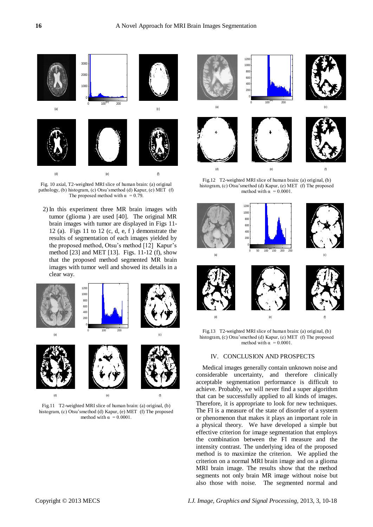

Fig. 10 axial, T2-weighted MRI slice of human brain: (a) original pathology, (b) histogram, (c) Otsu'smethod (d) Kapur, (e) MET (f) The proposed method with  $\alpha = 0.79$ .

2) In this experiment three MR brain images with tumor (glioma ) are used [40]. The original MR brain images with tumor are displayed in Figs 11- 12 (a). Figs 11 to 12 (c, d, e, f) demonstrate the results of segmentation of each images yielded by the proposed method, Otsu's method [12] Kapur's method [23] and MET [13]. Figs. 11-12 (f), show that the proposed method segmented MR brain images with tumor well and showed its details in a clear way.



Fig.11 T2-weighted MRI slice of human brain: (a) original, (b) histogram, (c) Otsu'smethod (d) Kapur, (e) MET (f) The proposed method with  $\alpha$  = 0.0001.



Fig.12 T2-weighted MRI slice of human brain: (a) original, (b) histogram, (c) Otsu'smethod (d) Kapur, (e) MET (f) The proposed method with  $\alpha$  = 0.0001.



Fig.13 T2-weighted MRI slice of human brain: (a) original, (b) histogram, (c) Otsu'smethod (d) Kapur, (e) MET (f) The proposed method with  $\alpha$  = 0.0001.

#### IV. CONCLUSION AND PROSPECTS

Medical images generally contain unknown noise and considerable uncertainty, and therefore clinically acceptable segmentation performance is difficult to achieve. Probably, we will never find a super algorithm that can be successfully applied to all kinds of images. Therefore, it is appropriate to look for new techniques. The FI is a measure of the state of disorder of a system or phenomenon that makes it plays an important role in a physical theory. We have developed a simple but effective criterion for image segmentation that employs the combination between the FI measure and the intensity contrast. The underlying idea of the proposed method is to maximize the criterion. We applied the criterion on a normal MRI brain image and on a glioma MRI brain image. The results show that the method segments not only brain MR image without noise but also those with noise. The segmented normal and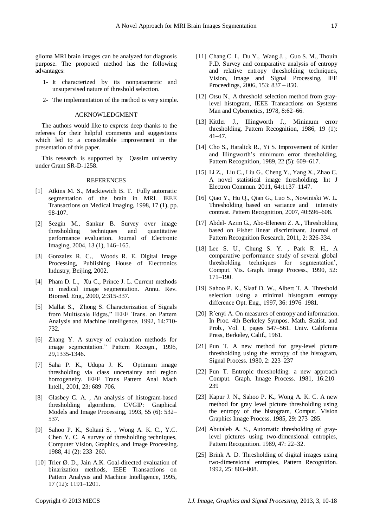glioma MRI brain images can be analyzed for diagnosis purpose. The proposed method has the following advantages:

- 1- It characterized by its nonparametric and unsupervised nature of threshold selection.
- 2- The implementation of the method is very simple.

## ACKNOWLEDGMENT

The authors would like to express deep thanks to the referees for their helpful comments and suggestions which led to a considerable improvement in the presentation of this paper.

This research is supported by Qassim university under Grant SR-D-1258.

#### REFERENCES

- [1] Atkins M. S., Mackiewich B. T. Fully automatic segmentation of the brain in MRI. IEEE Transactions on Medical Imaging, 1998, 17 (1), pp. 98-107.
- [2] Sezgin M., Sankur B. Survey over image thresholding techniques and quantitative performance evaluation. Journal of Electronic Imaging, 2004, 13 (1), 146–165.
- [3] Gonzalez R. C., Woods R. E. Digital Image Processing, Publishing House of Electronics Industry, Beijing, 2002.
- [4] Pham D. L., Xu C., Prince J. L. Current methods in medical image segmentation. Annu. Rev. Biomed. Eng., 2000, 2:315-337.
- [5] Mallat S., Zhong S. Characterization of Signals from Multiscale Edges," IEEE Trans. on Pattern Analysis and Machine Intelligence, 1992, 14:710- 732.
- [6] Zhang Y. A survey of evaluation methods for image segmentation." Pattern Recogn., 1996, 29,1335-1346.
- [7] Saha P. K., Udupa J. K. Optimum image thresholding via class uncertainty and region homogeneity. IEEE Trans Pattern Anal Mach Intell., 2001, 23: 689–706.
- [8] Glasbey C. A. , An analysis of histogram-based thresholding algorithms, CVGIP: Graphical Models and Image Processing, 1993, 55 (6): 532– 537.
- [9] Sahoo P. K., Soltani S. , Wong A. K. C., Y.C. Chen Y. C. A survey of thresholding techniques, Computer Vision, Graphics, and Image Processing. 1988, 41 (2): 233–260.
- [10] Trier Ø. D., Jain A.K. Goal-directed evaluation of binarization methods, IEEE Transactions on Pattern Analysis and Machine Intelligence, 1995, 17 (12): 1191–1201.
- [11] Chang C. I., Du Y., Wang J. , Guo S. M., Thouin P.D. Survey and comparative analysis of entropy and relative entropy thresholding techniques, Vision, Image and [Signal Processing, IEE](http://ieeexplore.ieee.org/xpl/RecentIssue.jsp?punumber=2200)  [Proceedings, 2](http://ieeexplore.ieee.org/xpl/RecentIssue.jsp?punumber=2200)006, 153: 837 – 850.
- [12] Otsu N., A threshold selection method from graylevel histogram, IEEE Transactions on Systems Man and Cybernetics, 1978, 8:62–66.
- [13] Kittler J., Illingworth J., Minimum error thresholding, Pattern Recognition, 1986, 19 (1): 41–47.
- [14] Cho S., Haralick R., Yi S. Improvement of Kittler and Illingworth's minimum error thresholding, Pattern Recognition, 1989, 22 (5): 609–617.
- [15] Li Z., Liu C., Liu G., Cheng Y., Yang X., Zhao C. A novel statistical image thresholding. Int J Electron Commun. 2011, 64:1137–1147.
- [16] Qiao Y., Hu Q., Qian G., Luo S., Nowiniski W. L. Thresholding based on variance and intensity contrast. Pattern Recognition, 2007, 40:596–608.
- [17] Abdel- Azim G., Abo-Eleneen Z. A., Thresholding based on Fisher linear discriminant. Journal of Pattern Recognition Research, 2011, 2: 326-334.
- [18] Lee S. U., Chung S. Y. , Park R. H., A comparative performance study of several global thresholding techniques for segmentation', Comput. Vis. Graph. Image Process., 1990, 52: 171–190.
- [19] Sahoo P. K., Slaaf D. W., Albert T. A. Threshold selection using a minimal histogram entropy difference Opt. Eng., 1997, 36: 1976–1981.
- [20] R ényi A. On measures of entropy and information. In Proc. 4th Berkeley Sympos. Math. Statist. and Prob., Vol. I, pages 547–561. Univ. California Press, Berkeley, Calif., 1961.
- [21] Pun T. A new method for grey-level picture thresholding using the entropy of the histogram, Signal Process. 1980, 2: 223–237
- [22] Pun T. Entropic thresholding: a new approach Comput. Graph. Image Process. 1981, 16:210– 239
- [23] Kapur J. N., Sahoo P. K., Wong A. K. C. A new method for gray level picture thresholding using the entropy of the histogram, Comput. Vision Graphics Image Process. 1985, 29: 273–285.
- [24] Abutaleb A. S., Automatic thresholding of graylevel pictures using two-dimensional entropies, Pattern Recognition. 1989, 47: 22–32.
- [25] Brink A. D. Thresholding of digital images using two-dimensional entropies, Pattern Recognition. 1992, 25: 803–808.